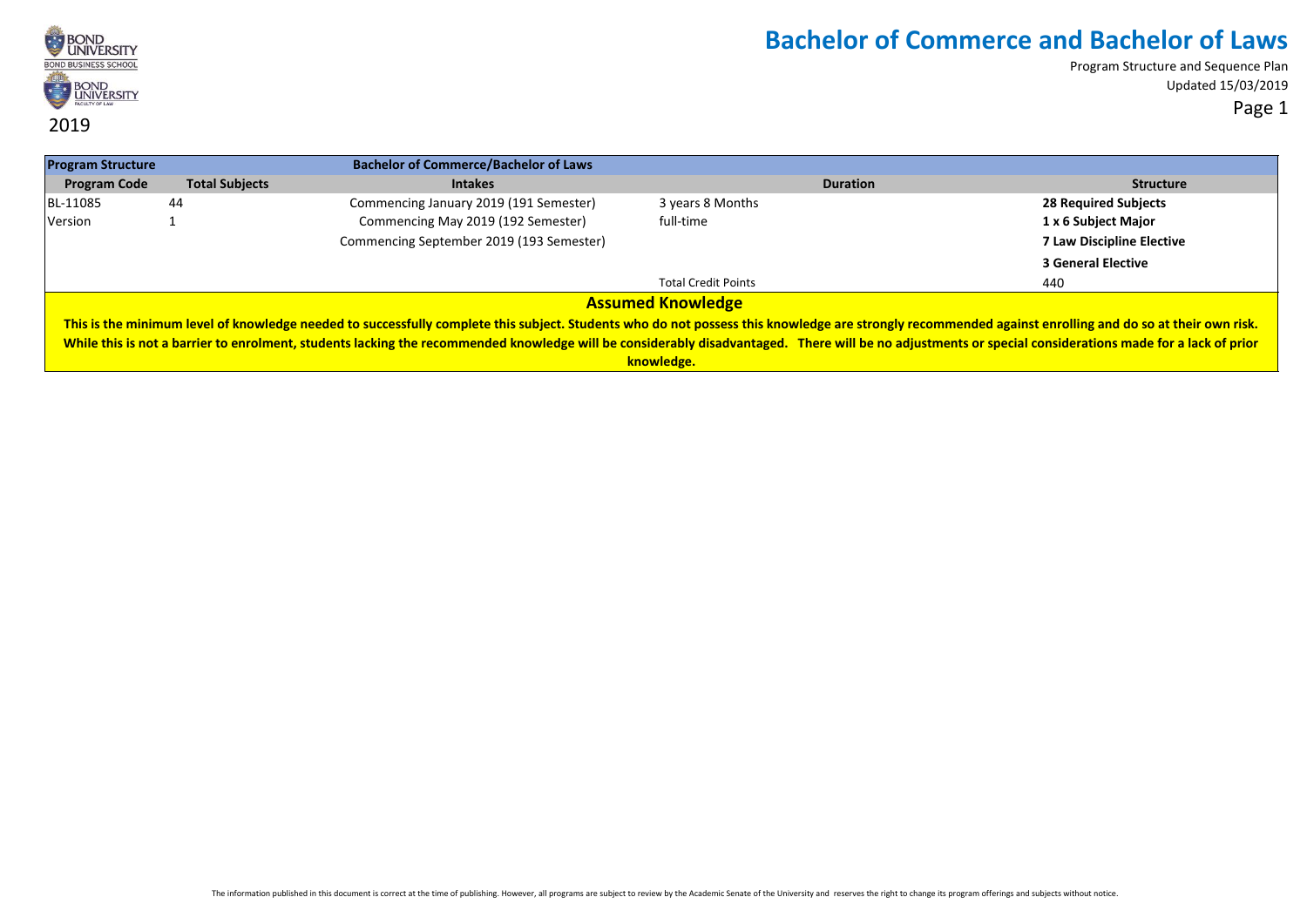

Program Structure and Sequence Plan Updated 15/03/2019 Page 1

**Program Structure Bachelor of Commerce/Bachelor of Laws Program Code Total Subjects Intakes Duration Structure** BL-11085 44 Commencing January 2019 (191 Semester) 3 years 8 Months **28 Required Subjects** Version 1 Commencing May 2019 (192 Semester) full-time **1 x 6 Subject Major** Commencing September 2019 (193 Semester) **7 Law Discipline Elective 3 General Elective** Total Credit Points 440 **Assumed Knowledge** This is the minimum level of knowledge needed to successfully complete this subject. Students who do not possess this knowledge are strongly recommended against enrolling and do so at their own risk. While this is not a barrier to enrolment, students lacking the recommended knowledge will be considerably disadvantaged. There will be no adjustments or special considerations made for a lack of prior **knowledge.**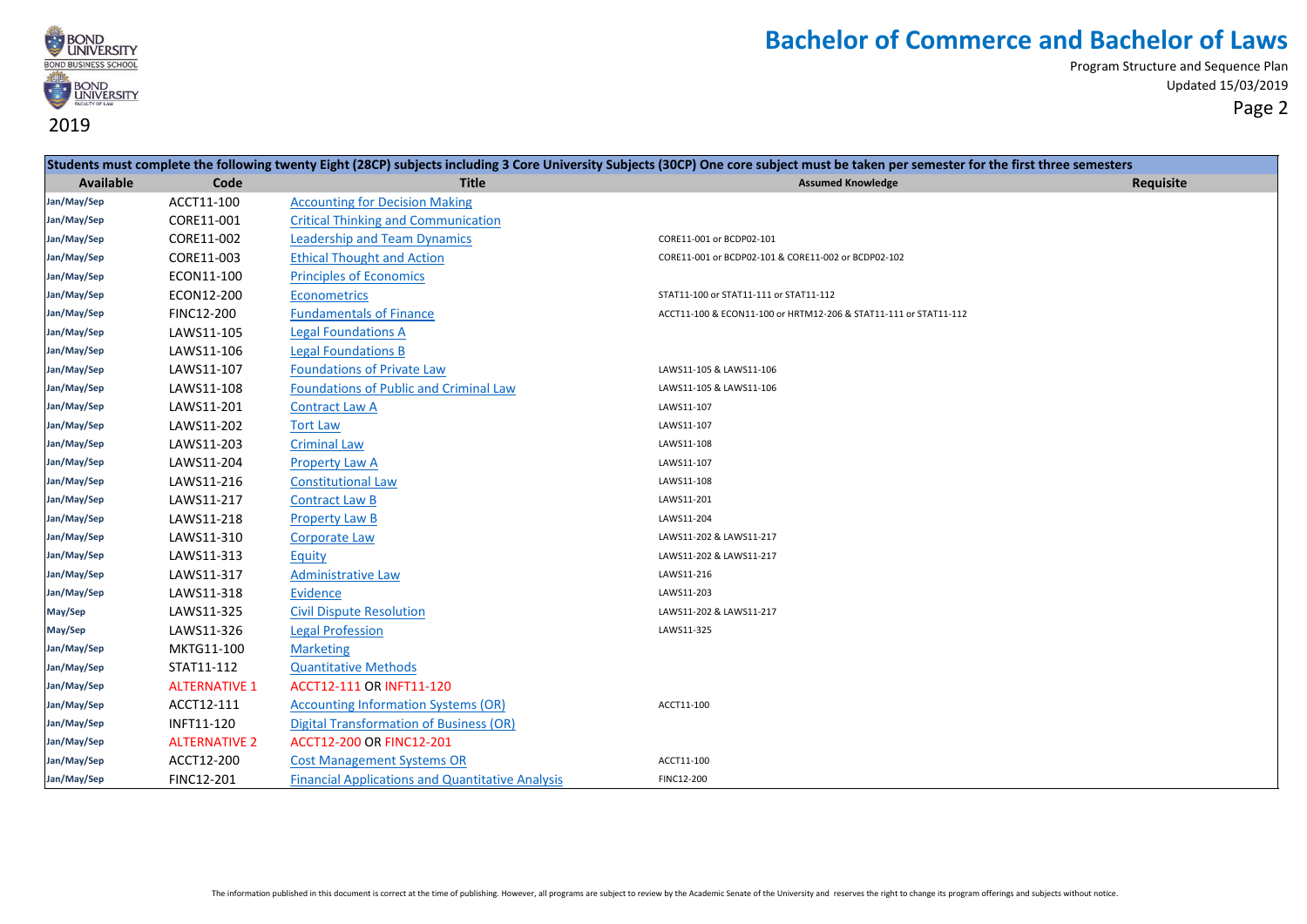

| Students must complete the following twenty Eight (28CP) subjects including 3 Core University Subjects (30CP) One core subject must be taken per semester for the first three semesters |                      |                                                         |                                                                  |           |
|-----------------------------------------------------------------------------------------------------------------------------------------------------------------------------------------|----------------------|---------------------------------------------------------|------------------------------------------------------------------|-----------|
| Available                                                                                                                                                                               | Code                 | <b>Title</b>                                            | <b>Assumed Knowledge</b>                                         | Requisite |
| Jan/May/Sep                                                                                                                                                                             | ACCT11-100           | <b>Accounting for Decision Making</b>                   |                                                                  |           |
| Jan/May/Sep                                                                                                                                                                             | CORE11-001           | <b>Critical Thinking and Communication</b>              |                                                                  |           |
| Jan/May/Sep                                                                                                                                                                             | CORE11-002           | <b>Leadership and Team Dynamics</b>                     | CORE11-001 or BCDP02-101                                         |           |
| Jan/May/Sep                                                                                                                                                                             | CORE11-003           | <b>Ethical Thought and Action</b>                       | CORE11-001 or BCDP02-101 & CORE11-002 or BCDP02-102              |           |
| Jan/May/Sep                                                                                                                                                                             | ECON11-100           | <b>Principles of Economics</b>                          |                                                                  |           |
| Jan/May/Sep                                                                                                                                                                             | ECON12-200           | <b>Econometrics</b>                                     | STAT11-100 or STAT11-111 or STAT11-112                           |           |
| Jan/May/Sep                                                                                                                                                                             | FINC12-200           | <b>Fundamentals of Finance</b>                          | ACCT11-100 & ECON11-100 or HRTM12-206 & STAT11-111 or STAT11-112 |           |
| Jan/May/Sep                                                                                                                                                                             | LAWS11-105           | <b>Legal Foundations A</b>                              |                                                                  |           |
| Jan/May/Sep                                                                                                                                                                             | LAWS11-106           | <b>Legal Foundations B</b>                              |                                                                  |           |
| Jan/May/Sep                                                                                                                                                                             | LAWS11-107           | <b>Foundations of Private Law</b>                       | LAWS11-105 & LAWS11-106                                          |           |
| Jan/May/Sep                                                                                                                                                                             | LAWS11-108           | Foundations of Public and Criminal Law                  | LAWS11-105 & LAWS11-106                                          |           |
| Jan/May/Sep                                                                                                                                                                             | LAWS11-201           | <b>Contract Law A</b>                                   | LAWS11-107                                                       |           |
| Jan/May/Sep                                                                                                                                                                             | LAWS11-202           | <b>Tort Law</b>                                         | LAWS11-107                                                       |           |
| Jan/May/Sep                                                                                                                                                                             | LAWS11-203           | <b>Criminal Law</b>                                     | LAWS11-108                                                       |           |
| Jan/May/Sep                                                                                                                                                                             | LAWS11-204           | <b>Property Law A</b>                                   | LAWS11-107                                                       |           |
| Jan/May/Sep                                                                                                                                                                             | LAWS11-216           | <b>Constitutional Law</b>                               | LAWS11-108                                                       |           |
| Jan/May/Sep                                                                                                                                                                             | LAWS11-217           | <b>Contract Law B</b>                                   | LAWS11-201                                                       |           |
| Jan/May/Sep                                                                                                                                                                             | LAWS11-218           | <b>Property Law B</b>                                   | LAWS11-204                                                       |           |
| Jan/May/Sep                                                                                                                                                                             | LAWS11-310           | <b>Corporate Law</b>                                    | LAWS11-202 & LAWS11-217                                          |           |
| Jan/May/Sep                                                                                                                                                                             | LAWS11-313           | Equity                                                  | LAWS11-202 & LAWS11-217                                          |           |
| Jan/May/Sep                                                                                                                                                                             | LAWS11-317           | <b>Administrative Law</b>                               | LAWS11-216                                                       |           |
| Jan/May/Sep                                                                                                                                                                             | LAWS11-318           | <b>Evidence</b>                                         | LAWS11-203                                                       |           |
| May/Sep                                                                                                                                                                                 | LAWS11-325           | <b>Civil Dispute Resolution</b>                         | LAWS11-202 & LAWS11-217                                          |           |
| May/Sep                                                                                                                                                                                 | LAWS11-326           | <b>Legal Profession</b>                                 | LAWS11-325                                                       |           |
| Jan/May/Sep                                                                                                                                                                             | MKTG11-100           | <b>Marketing</b>                                        |                                                                  |           |
| Jan/May/Sep                                                                                                                                                                             | STAT11-112           | <b>Quantitative Methods</b>                             |                                                                  |           |
| Jan/May/Sep                                                                                                                                                                             | <b>ALTERNATIVE 1</b> | <b>ACCT12-111 OR INFT11-120</b>                         |                                                                  |           |
| Jan/May/Sep                                                                                                                                                                             | ACCT12-111           | <b>Accounting Information Systems (OR)</b>              | ACCT11-100                                                       |           |
| Jan/May/Sep                                                                                                                                                                             | INFT11-120           | <b>Digital Transformation of Business (OR)</b>          |                                                                  |           |
| Jan/May/Sep                                                                                                                                                                             | <b>ALTERNATIVE 2</b> | <b>ACCT12-200 OR FINC12-201</b>                         |                                                                  |           |
| Jan/May/Sep                                                                                                                                                                             | ACCT12-200           | <b>Cost Management Systems OR</b>                       | ACCT11-100                                                       |           |
| Jan/May/Sep                                                                                                                                                                             | <b>FINC12-201</b>    | <b>Financial Applications and Quantitative Analysis</b> | FINC12-200                                                       |           |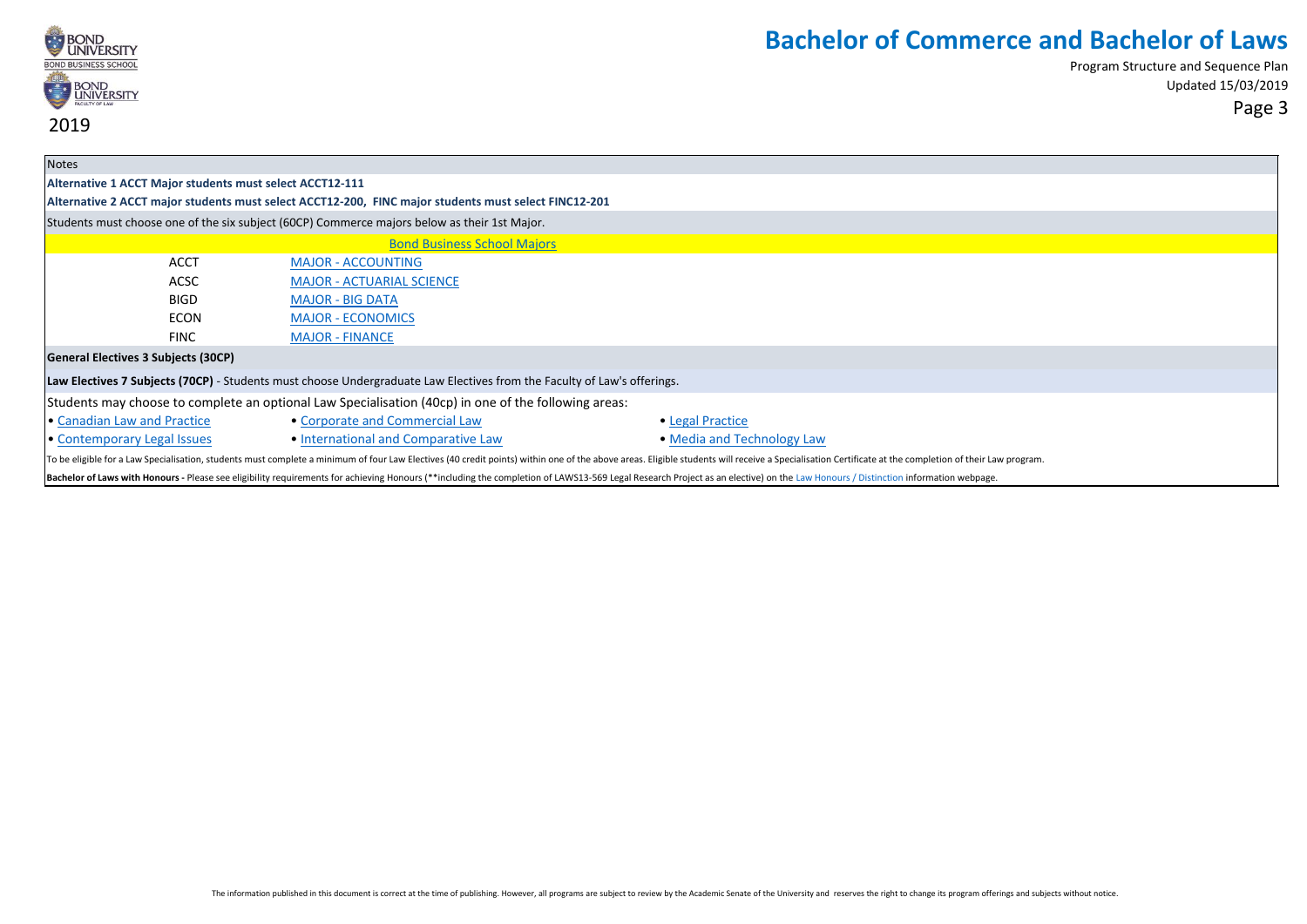

| <b>Notes</b>                                                                                                                                                                                                                   |                                                                                                      |                            |  |  |
|--------------------------------------------------------------------------------------------------------------------------------------------------------------------------------------------------------------------------------|------------------------------------------------------------------------------------------------------|----------------------------|--|--|
| Alternative 1 ACCT Major students must select ACCT12-111                                                                                                                                                                       |                                                                                                      |                            |  |  |
|                                                                                                                                                                                                                                | Alternative 2 ACCT major students must select ACCT12-200, FINC major students must select FINC12-201 |                            |  |  |
|                                                                                                                                                                                                                                | Students must choose one of the six subject (60CP) Commerce majors below as their 1st Major.         |                            |  |  |
|                                                                                                                                                                                                                                | <b>Bond Business School Majors</b>                                                                   |                            |  |  |
| <b>ACCT</b>                                                                                                                                                                                                                    | <b>MAJOR - ACCOUNTING</b>                                                                            |                            |  |  |
| <b>ACSC</b>                                                                                                                                                                                                                    | <b>MAJOR - ACTUARIAL SCIENCE</b>                                                                     |                            |  |  |
| <b>BIGD</b>                                                                                                                                                                                                                    | <b>MAJOR - BIG DATA</b>                                                                              |                            |  |  |
| <b>ECON</b>                                                                                                                                                                                                                    | <b>MAJOR - ECONOMICS</b>                                                                             |                            |  |  |
| <b>FINC</b>                                                                                                                                                                                                                    | <b>MAJOR - FINANCE</b>                                                                               |                            |  |  |
| General Electives 3 Subjects (30CP)                                                                                                                                                                                            |                                                                                                      |                            |  |  |
| Law Electives 7 Subjects (70CP) - Students must choose Undergraduate Law Electives from the Faculty of Law's offerings.                                                                                                        |                                                                                                      |                            |  |  |
| Students may choose to complete an optional Law Specialisation (40cp) in one of the following areas:                                                                                                                           |                                                                                                      |                            |  |  |
| • Canadian Law and Practice                                                                                                                                                                                                    | • Corporate and Commercial Law                                                                       | • Legal Practice           |  |  |
| • Contemporary Legal Issues                                                                                                                                                                                                    | • International and Comparative Law                                                                  | • Media and Technology Law |  |  |
| To be eligible for a Law Specialisation, students must complete a minimum of four Law Electives (40 credit points) within one of the above areas. Eligible students will receive a Specialisation Certificate at the completio |                                                                                                      |                            |  |  |
| Bachelor of Laws with Honours - Please see eligibility requirements for achieving Honours (**including the completion of LAWS13-569 Legal Research Project as an elective) on the Law Honours / Distinction information webpag |                                                                                                      |                            |  |  |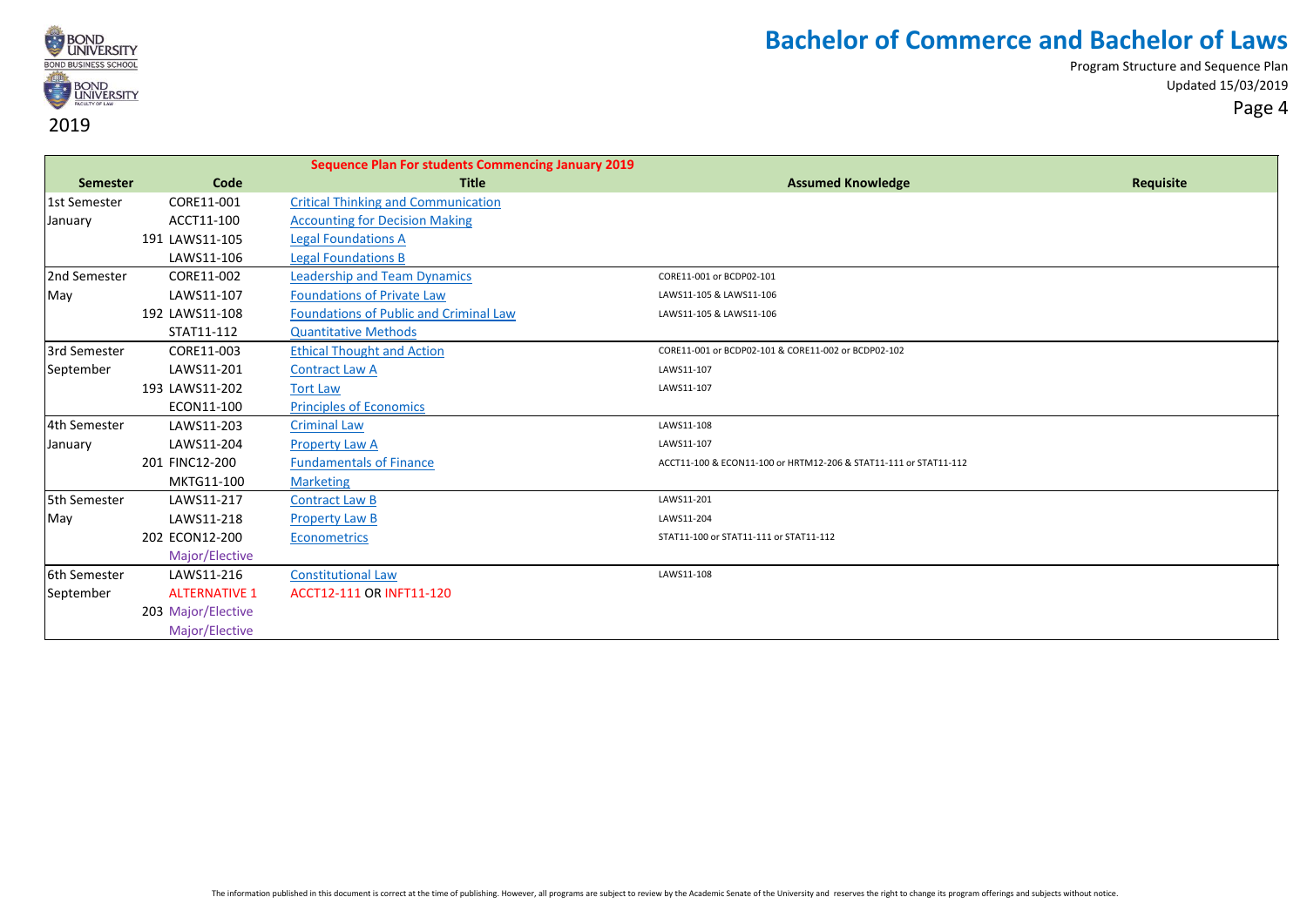

| Code<br><b>Title</b><br><b>Assumed Knowledge</b><br>Requisite<br>Semester<br>CORE11-001<br><b>Critical Thinking and Communication</b><br>1st Semester<br>ACCT11-100<br><b>Accounting for Decision Making</b><br>January<br>191 LAWS11-105<br><b>Legal Foundations A</b><br>LAWS11-106<br><b>Legal Foundations B</b><br>2nd Semester<br>CORE11-002<br><b>Leadership and Team Dynamics</b><br>CORE11-001 or BCDP02-101<br><b>Foundations of Private Law</b><br>May<br>LAWS11-107<br>LAWS11-105 & LAWS11-106<br><b>Foundations of Public and Criminal Law</b><br>192 LAWS11-108<br>LAWS11-105 & LAWS11-106<br>STAT11-112<br><b>Quantitative Methods</b><br>3rd Semester<br>CORE11-003<br><b>Ethical Thought and Action</b><br>CORE11-001 or BCDP02-101 & CORE11-002 or BCDP02-102<br>September<br>LAWS11-201<br><b>Contract Law A</b><br>LAWS11-107<br>193 LAWS11-202<br><b>Tort Law</b><br>LAWS11-107<br>ECON11-100<br><b>Principles of Economics</b><br>4th Semester<br><b>Criminal Law</b><br>LAWS11-108<br>LAWS11-203 |  |
|------------------------------------------------------------------------------------------------------------------------------------------------------------------------------------------------------------------------------------------------------------------------------------------------------------------------------------------------------------------------------------------------------------------------------------------------------------------------------------------------------------------------------------------------------------------------------------------------------------------------------------------------------------------------------------------------------------------------------------------------------------------------------------------------------------------------------------------------------------------------------------------------------------------------------------------------------------------------------------------------------------------------|--|
|                                                                                                                                                                                                                                                                                                                                                                                                                                                                                                                                                                                                                                                                                                                                                                                                                                                                                                                                                                                                                        |  |
|                                                                                                                                                                                                                                                                                                                                                                                                                                                                                                                                                                                                                                                                                                                                                                                                                                                                                                                                                                                                                        |  |
|                                                                                                                                                                                                                                                                                                                                                                                                                                                                                                                                                                                                                                                                                                                                                                                                                                                                                                                                                                                                                        |  |
|                                                                                                                                                                                                                                                                                                                                                                                                                                                                                                                                                                                                                                                                                                                                                                                                                                                                                                                                                                                                                        |  |
|                                                                                                                                                                                                                                                                                                                                                                                                                                                                                                                                                                                                                                                                                                                                                                                                                                                                                                                                                                                                                        |  |
|                                                                                                                                                                                                                                                                                                                                                                                                                                                                                                                                                                                                                                                                                                                                                                                                                                                                                                                                                                                                                        |  |
|                                                                                                                                                                                                                                                                                                                                                                                                                                                                                                                                                                                                                                                                                                                                                                                                                                                                                                                                                                                                                        |  |
|                                                                                                                                                                                                                                                                                                                                                                                                                                                                                                                                                                                                                                                                                                                                                                                                                                                                                                                                                                                                                        |  |
|                                                                                                                                                                                                                                                                                                                                                                                                                                                                                                                                                                                                                                                                                                                                                                                                                                                                                                                                                                                                                        |  |
|                                                                                                                                                                                                                                                                                                                                                                                                                                                                                                                                                                                                                                                                                                                                                                                                                                                                                                                                                                                                                        |  |
|                                                                                                                                                                                                                                                                                                                                                                                                                                                                                                                                                                                                                                                                                                                                                                                                                                                                                                                                                                                                                        |  |
|                                                                                                                                                                                                                                                                                                                                                                                                                                                                                                                                                                                                                                                                                                                                                                                                                                                                                                                                                                                                                        |  |
|                                                                                                                                                                                                                                                                                                                                                                                                                                                                                                                                                                                                                                                                                                                                                                                                                                                                                                                                                                                                                        |  |
|                                                                                                                                                                                                                                                                                                                                                                                                                                                                                                                                                                                                                                                                                                                                                                                                                                                                                                                                                                                                                        |  |
| LAWS11-204<br><b>Property Law A</b><br>LAWS11-107<br>January                                                                                                                                                                                                                                                                                                                                                                                                                                                                                                                                                                                                                                                                                                                                                                                                                                                                                                                                                           |  |
| 201 FINC12-200<br><b>Fundamentals of Finance</b><br>ACCT11-100 & ECON11-100 or HRTM12-206 & STAT11-111 or STAT11-112                                                                                                                                                                                                                                                                                                                                                                                                                                                                                                                                                                                                                                                                                                                                                                                                                                                                                                   |  |
| MKTG11-100<br><b>Marketing</b>                                                                                                                                                                                                                                                                                                                                                                                                                                                                                                                                                                                                                                                                                                                                                                                                                                                                                                                                                                                         |  |
| 5th Semester<br>LAWS11-217<br>LAWS11-201<br><b>Contract Law B</b>                                                                                                                                                                                                                                                                                                                                                                                                                                                                                                                                                                                                                                                                                                                                                                                                                                                                                                                                                      |  |
| LAWS11-218<br>LAWS11-204<br>May<br><b>Property Law B</b>                                                                                                                                                                                                                                                                                                                                                                                                                                                                                                                                                                                                                                                                                                                                                                                                                                                                                                                                                               |  |
| 202 ECON12-200<br>STAT11-100 or STAT11-111 or STAT11-112<br><b>Econometrics</b>                                                                                                                                                                                                                                                                                                                                                                                                                                                                                                                                                                                                                                                                                                                                                                                                                                                                                                                                        |  |
| Major/Elective                                                                                                                                                                                                                                                                                                                                                                                                                                                                                                                                                                                                                                                                                                                                                                                                                                                                                                                                                                                                         |  |
| 6th Semester<br>LAWS11-216<br><b>Constitutional Law</b><br>LAWS11-108                                                                                                                                                                                                                                                                                                                                                                                                                                                                                                                                                                                                                                                                                                                                                                                                                                                                                                                                                  |  |
| <b>ALTERNATIVE 1</b><br><b>ACCT12-111 OR INFT11-120</b><br>September                                                                                                                                                                                                                                                                                                                                                                                                                                                                                                                                                                                                                                                                                                                                                                                                                                                                                                                                                   |  |
| 203 Major/Elective                                                                                                                                                                                                                                                                                                                                                                                                                                                                                                                                                                                                                                                                                                                                                                                                                                                                                                                                                                                                     |  |
| Major/Elective                                                                                                                                                                                                                                                                                                                                                                                                                                                                                                                                                                                                                                                                                                                                                                                                                                                                                                                                                                                                         |  |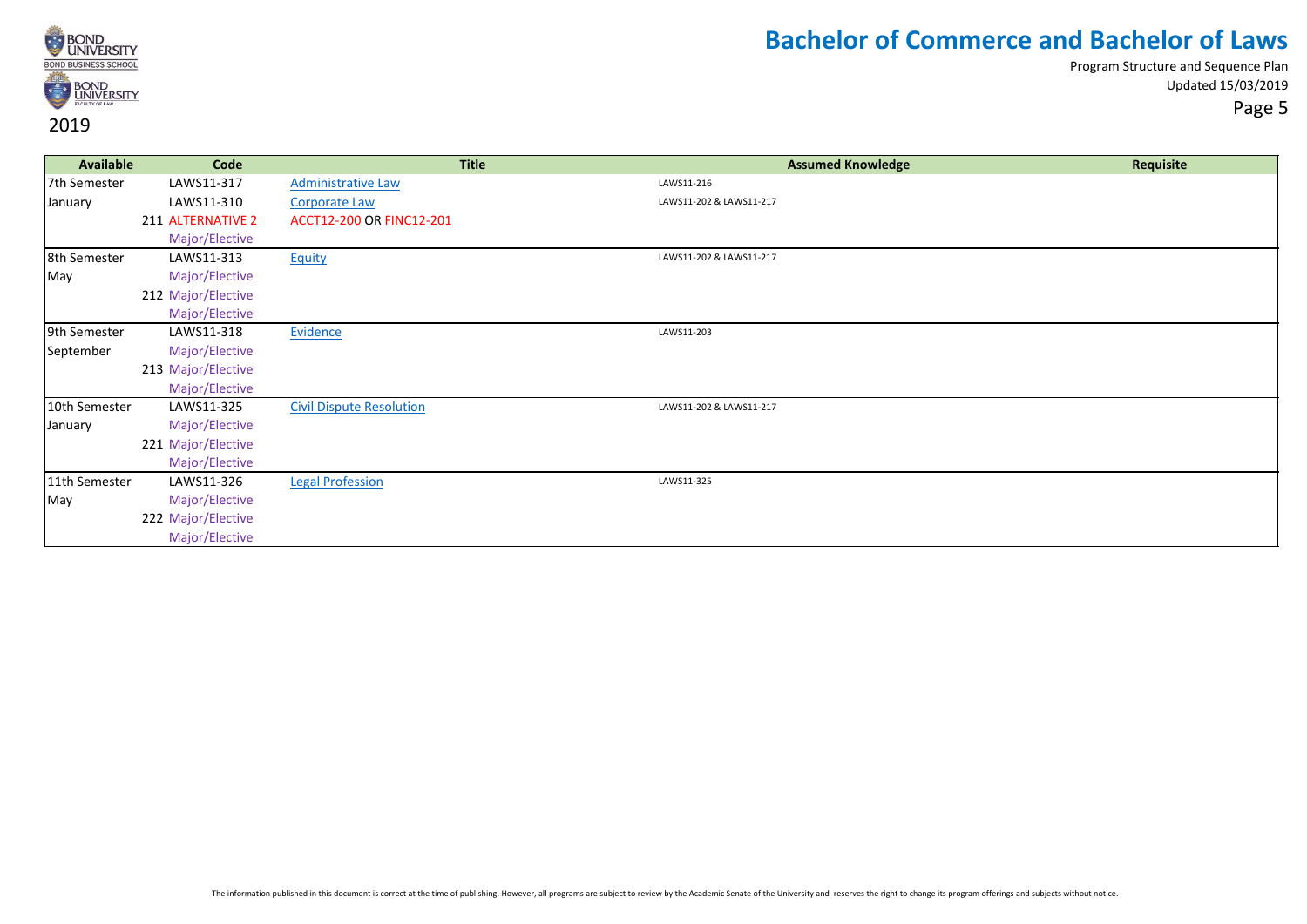

| <b>Available</b> | Code               | <b>Title</b>                    | <b>Assumed Knowledge</b> | Requisite |
|------------------|--------------------|---------------------------------|--------------------------|-----------|
| 7th Semester     | LAWS11-317         | Administrative Law              | LAWS11-216               |           |
| January          | LAWS11-310         | <b>Corporate Law</b>            | LAWS11-202 & LAWS11-217  |           |
|                  | 211 ALTERNATIVE 2  | ACCT12-200 OR FINC12-201        |                          |           |
|                  | Major/Elective     |                                 |                          |           |
| 8th Semester     | LAWS11-313         | <b>Equity</b>                   | LAWS11-202 & LAWS11-217  |           |
| May              | Major/Elective     |                                 |                          |           |
|                  | 212 Major/Elective |                                 |                          |           |
|                  | Major/Elective     |                                 |                          |           |
| 9th Semester     | LAWS11-318         | Evidence                        | LAWS11-203               |           |
| September        | Major/Elective     |                                 |                          |           |
|                  | 213 Major/Elective |                                 |                          |           |
|                  | Major/Elective     |                                 |                          |           |
| 10th Semester    | LAWS11-325         | <b>Civil Dispute Resolution</b> | LAWS11-202 & LAWS11-217  |           |
| January          | Major/Elective     |                                 |                          |           |
|                  | 221 Major/Elective |                                 |                          |           |
|                  | Major/Elective     |                                 |                          |           |
| 11th Semester    | LAWS11-326         | <b>Legal Profession</b>         | LAWS11-325               |           |
| May              | Major/Elective     |                                 |                          |           |
|                  | 222 Major/Elective |                                 |                          |           |
|                  | Major/Elective     |                                 |                          |           |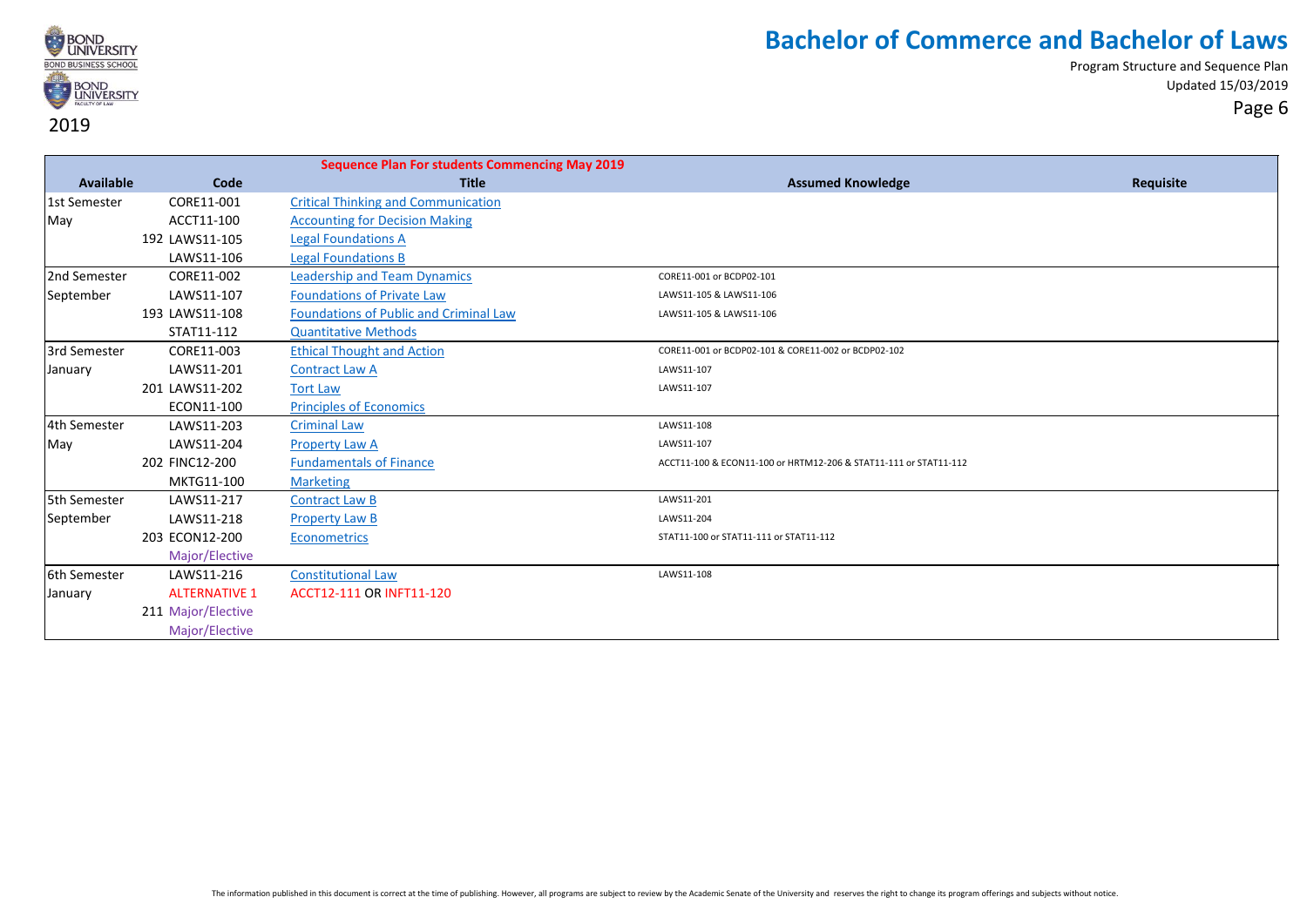

|              |                      | <b>Sequence Plan For students Commencing May 2019</b> |                                                                  |           |
|--------------|----------------------|-------------------------------------------------------|------------------------------------------------------------------|-----------|
| Available    | Code                 | <b>Title</b>                                          | <b>Assumed Knowledge</b>                                         | Requisite |
| 1st Semester | CORE11-001           | <b>Critical Thinking and Communication</b>            |                                                                  |           |
| May          | ACCT11-100           | <b>Accounting for Decision Making</b>                 |                                                                  |           |
|              | 192 LAWS11-105       | <b>Legal Foundations A</b>                            |                                                                  |           |
|              | LAWS11-106           | <b>Legal Foundations B</b>                            |                                                                  |           |
| 2nd Semester | CORE11-002           | <b>Leadership and Team Dynamics</b>                   | CORE11-001 or BCDP02-101                                         |           |
| September    | LAWS11-107           | <b>Foundations of Private Law</b>                     | LAWS11-105 & LAWS11-106                                          |           |
|              | 193 LAWS11-108       | Foundations of Public and Criminal Law                | LAWS11-105 & LAWS11-106                                          |           |
|              | STAT11-112           | <b>Quantitative Methods</b>                           |                                                                  |           |
| 3rd Semester | CORE11-003           | <b>Ethical Thought and Action</b>                     | CORE11-001 or BCDP02-101 & CORE11-002 or BCDP02-102              |           |
| January      | LAWS11-201           | <b>Contract Law A</b>                                 | LAWS11-107                                                       |           |
|              | 201 LAWS11-202       | <b>Tort Law</b>                                       | LAWS11-107                                                       |           |
|              | ECON11-100           | <b>Principles of Economics</b>                        |                                                                  |           |
| 4th Semester | LAWS11-203           | <b>Criminal Law</b>                                   | LAWS11-108                                                       |           |
| May          | LAWS11-204           | <b>Property Law A</b>                                 | LAWS11-107                                                       |           |
|              | 202 FINC12-200       | <b>Fundamentals of Finance</b>                        | ACCT11-100 & ECON11-100 or HRTM12-206 & STAT11-111 or STAT11-112 |           |
|              | MKTG11-100           | <b>Marketing</b>                                      |                                                                  |           |
| 5th Semester | LAWS11-217           | <b>Contract Law B</b>                                 | LAWS11-201                                                       |           |
| September    | LAWS11-218           | <b>Property Law B</b>                                 | LAWS11-204                                                       |           |
|              | 203 ECON12-200       | <b>Econometrics</b>                                   | STAT11-100 or STAT11-111 or STAT11-112                           |           |
|              | Major/Elective       |                                                       |                                                                  |           |
| 6th Semester | LAWS11-216           | <b>Constitutional Law</b>                             | LAWS11-108                                                       |           |
| January      | <b>ALTERNATIVE 1</b> | ACCT12-111 OR INFT11-120                              |                                                                  |           |
|              | 211 Major/Elective   |                                                       |                                                                  |           |
|              | Major/Elective       |                                                       |                                                                  |           |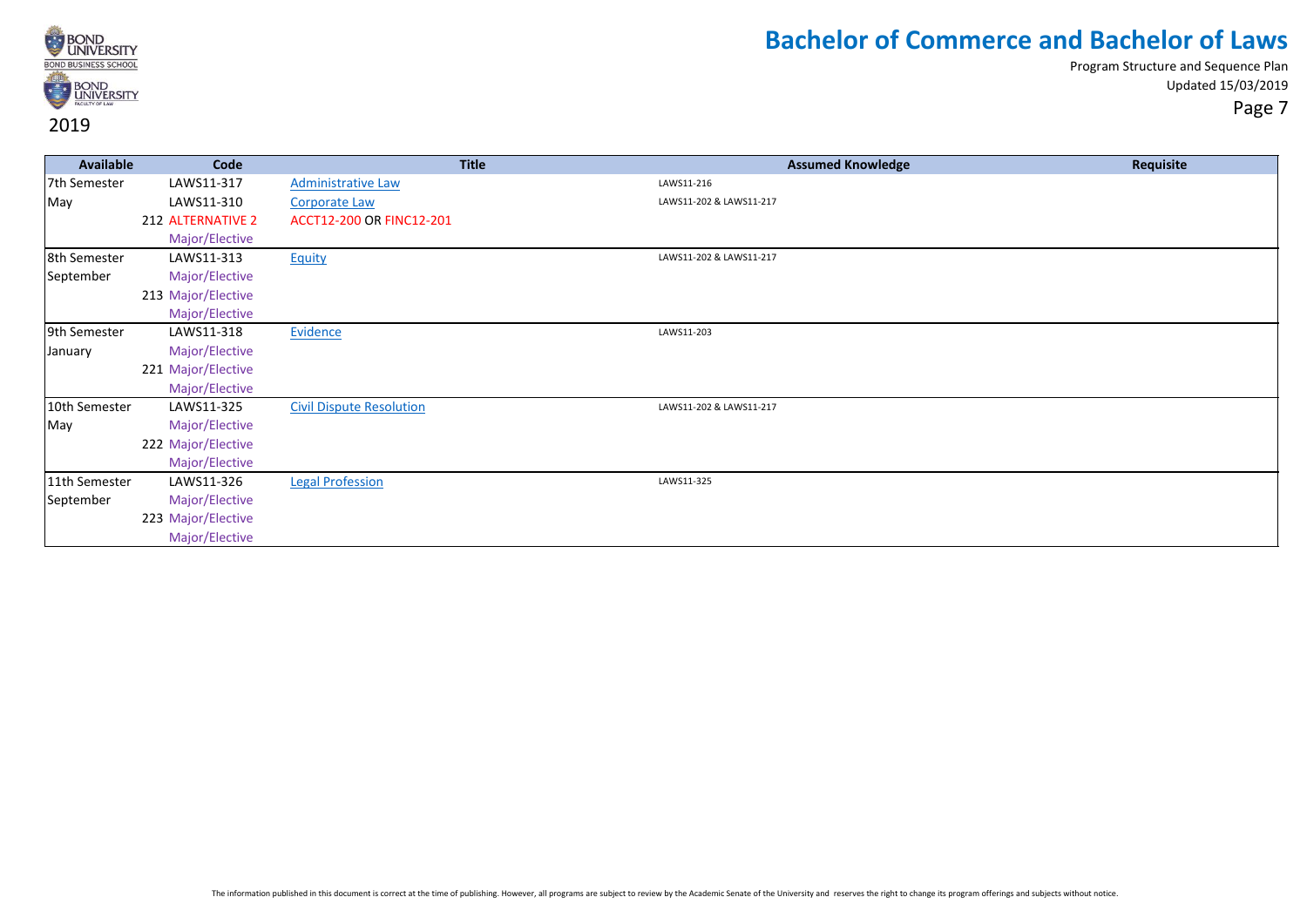

| <b>Available</b> | Code               | <b>Title</b>                    | <b>Assumed Knowledge</b> | Requisite |
|------------------|--------------------|---------------------------------|--------------------------|-----------|
| 7th Semester     | LAWS11-317         | <b>Administrative Law</b>       | LAWS11-216               |           |
| May              | LAWS11-310         | <b>Corporate Law</b>            | LAWS11-202 & LAWS11-217  |           |
|                  | 212 ALTERNATIVE 2  | ACCT12-200 OR FINC12-201        |                          |           |
|                  | Major/Elective     |                                 |                          |           |
| 8th Semester     | LAWS11-313         | Equity                          | LAWS11-202 & LAWS11-217  |           |
| September        | Major/Elective     |                                 |                          |           |
|                  | 213 Major/Elective |                                 |                          |           |
|                  | Major/Elective     |                                 |                          |           |
| 9th Semester     | LAWS11-318         | Evidence                        | LAWS11-203               |           |
| January          | Major/Elective     |                                 |                          |           |
|                  | 221 Major/Elective |                                 |                          |           |
|                  | Major/Elective     |                                 |                          |           |
| 10th Semester    | LAWS11-325         | <b>Civil Dispute Resolution</b> | LAWS11-202 & LAWS11-217  |           |
| May              | Major/Elective     |                                 |                          |           |
|                  | 222 Major/Elective |                                 |                          |           |
|                  | Major/Elective     |                                 |                          |           |
| 11th Semester    | LAWS11-326         | <b>Legal Profession</b>         | LAWS11-325               |           |
| September        | Major/Elective     |                                 |                          |           |
|                  | 223 Major/Elective |                                 |                          |           |
|                  | Major/Elective     |                                 |                          |           |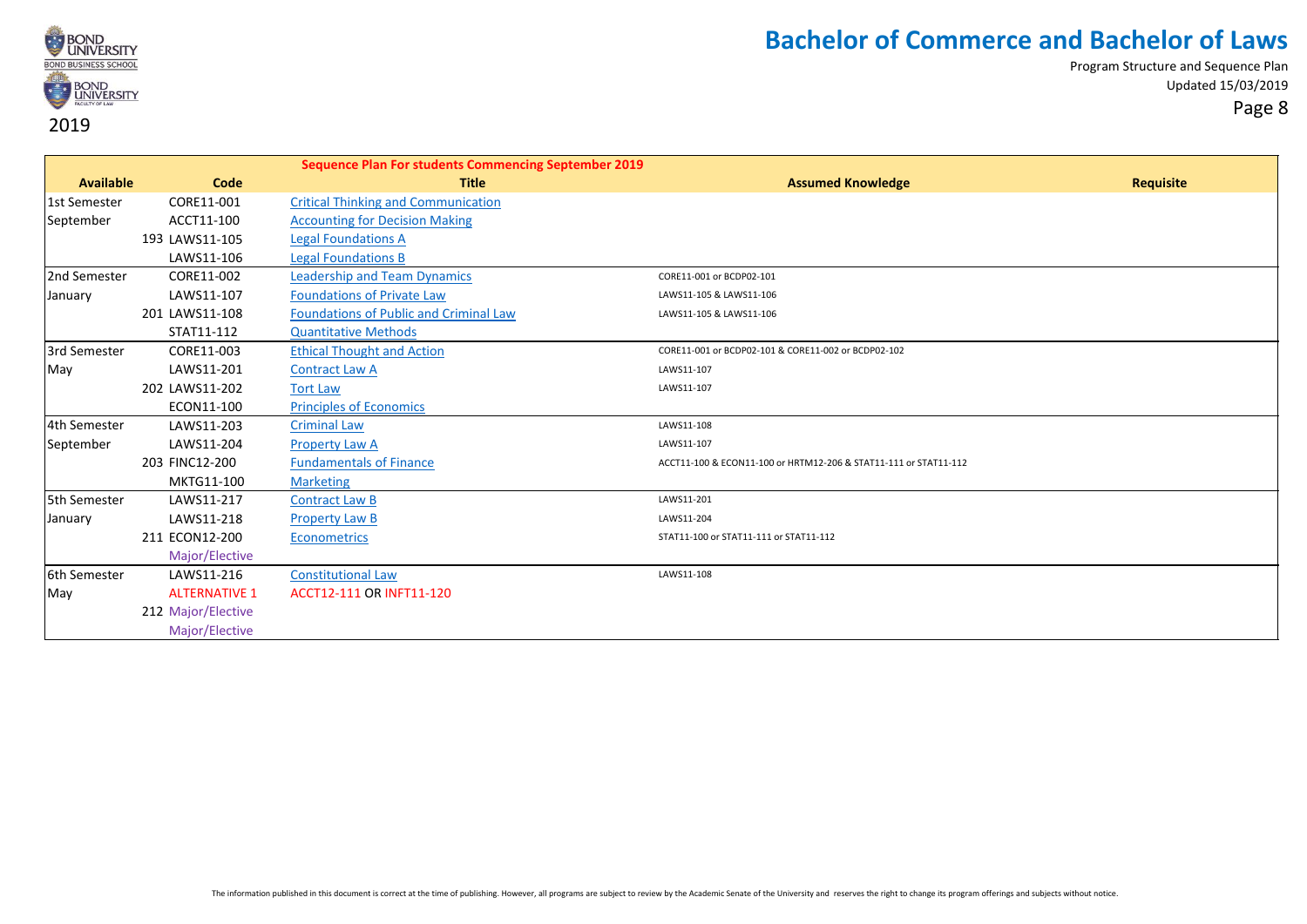

|                  |                      | <b>Sequence Plan For students Commencing September 2019</b> |                                                                  |                  |
|------------------|----------------------|-------------------------------------------------------------|------------------------------------------------------------------|------------------|
| <b>Available</b> | Code                 | <b>Title</b>                                                | <b>Assumed Knowledge</b>                                         | <b>Requisite</b> |
| 1st Semester     | CORE11-001           | <b>Critical Thinking and Communication</b>                  |                                                                  |                  |
| September        | ACCT11-100           | <b>Accounting for Decision Making</b>                       |                                                                  |                  |
|                  | 193 LAWS11-105       | <b>Legal Foundations A</b>                                  |                                                                  |                  |
|                  | LAWS11-106           | <b>Legal Foundations B</b>                                  |                                                                  |                  |
| 2nd Semester     | CORE11-002           | <b>Leadership and Team Dynamics</b>                         | CORE11-001 or BCDP02-101                                         |                  |
| January          | LAWS11-107           | <b>Foundations of Private Law</b>                           | LAWS11-105 & LAWS11-106                                          |                  |
|                  | 201 LAWS11-108       | Foundations of Public and Criminal Law                      | LAWS11-105 & LAWS11-106                                          |                  |
|                  | STAT11-112           | <b>Quantitative Methods</b>                                 |                                                                  |                  |
| 3rd Semester     | CORE11-003           | <b>Ethical Thought and Action</b>                           | CORE11-001 or BCDP02-101 & CORE11-002 or BCDP02-102              |                  |
| May              | LAWS11-201           | <b>Contract Law A</b>                                       | LAWS11-107                                                       |                  |
|                  | 202 LAWS11-202       | <b>Tort Law</b>                                             | LAWS11-107                                                       |                  |
|                  | ECON11-100           | <b>Principles of Economics</b>                              |                                                                  |                  |
| 4th Semester     | LAWS11-203           | <b>Criminal Law</b>                                         | LAWS11-108                                                       |                  |
| September        | LAWS11-204           | <b>Property Law A</b>                                       | LAWS11-107                                                       |                  |
|                  | 203 FINC12-200       | <b>Fundamentals of Finance</b>                              | ACCT11-100 & ECON11-100 or HRTM12-206 & STAT11-111 or STAT11-112 |                  |
|                  | MKTG11-100           | <b>Marketing</b>                                            |                                                                  |                  |
| 5th Semester     | LAWS11-217           | <b>Contract Law B</b>                                       | LAWS11-201                                                       |                  |
| January          | LAWS11-218           | <b>Property Law B</b>                                       | LAWS11-204                                                       |                  |
|                  | 211 ECON12-200       | Econometrics                                                | STAT11-100 or STAT11-111 or STAT11-112                           |                  |
|                  | Major/Elective       |                                                             |                                                                  |                  |
| 6th Semester     | LAWS11-216           | <b>Constitutional Law</b>                                   | LAWS11-108                                                       |                  |
| May              | <b>ALTERNATIVE 1</b> | ACCT12-111 OR INFT11-120                                    |                                                                  |                  |
|                  | 212 Major/Elective   |                                                             |                                                                  |                  |
|                  | Major/Elective       |                                                             |                                                                  |                  |